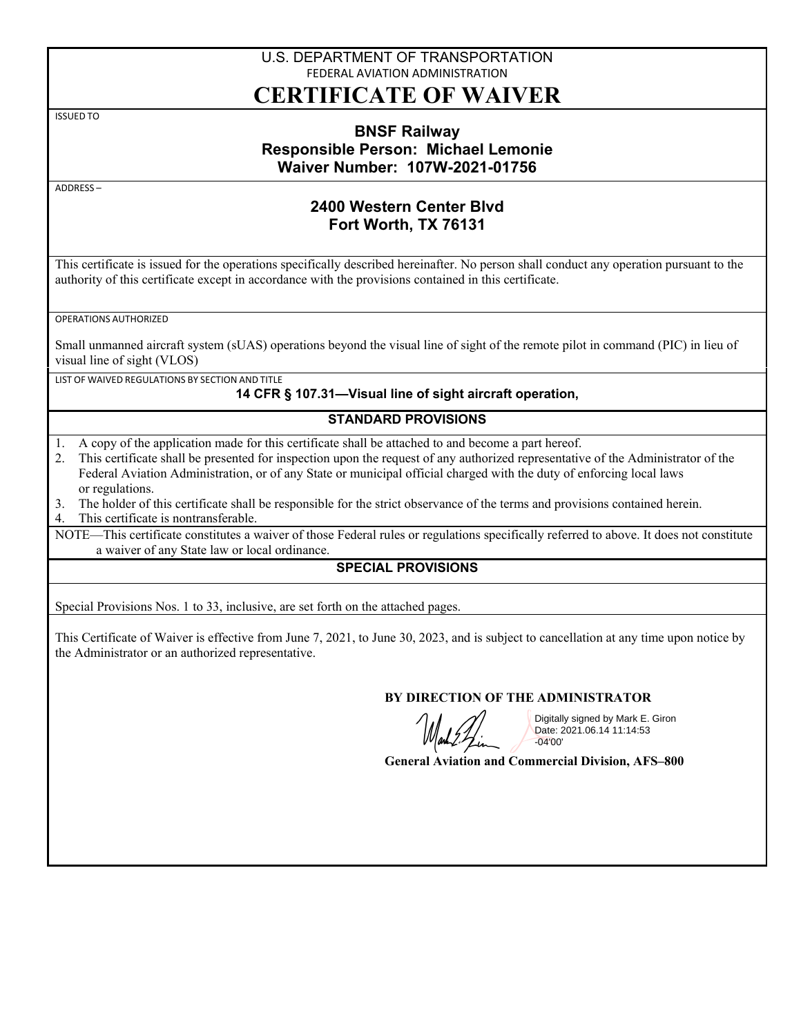# U.S. DEPARTMENT OF TRANSPORTATION FEDERAL AVIATION ADMINISTRATION

# **CERTIFICATE OF WAIVER**

ISSUED TO

### **BNSF Railway Responsible Person: Michael Lemonie Waiver Number: 107W-2021-01756**

ADDRESS –

# **2400 Western Center Blvd Fort Worth, TX 76131**

This certificate is issued for the operations specifically described hereinafter. No person shall conduct any operation pursuant to the authority of this certificate except in accordance with the provisions contained in this certificate.

OPERATIONS AUTHORIZED

Small unmanned aircraft system (sUAS) operations beyond the visual line of sight of the remote pilot in command (PIC) in lieu of visual line of sight (VLOS)

LIST OF WAIVED REGULATIONS BY SECTION AND TITLE

#### **14 CFR § 107.31—Visual line of sight aircraft operation,**

#### **STANDARD PROVISIONS**

- 1. A copy of the application made for this certificate shall be attached to and become a part hereof.
- 2. This certificate shall be presented for inspection upon the request of any authorized representative of the Administrator of the Federal Aviation Administration, or of any State or municipal official charged with the duty of enforcing local laws or regulations.
- 3. The holder of this certificate shall be responsible for the strict observance of the terms and provisions contained herein.

4. This certificate is nontransferable.

NOTE—This certificate constitutes a waiver of those Federal rules or regulations specifically referred to above. It does not constitute a waiver of any State law or local ordinance.

#### **SPECIAL PROVISIONS**

Special Provisions Nos. 1 to 33, inclusive, are set forth on the attached pages.

This Certificate of Waiver is effective from June 7, 2021, to June 30, 2023, and is subject to cancellation at any time upon notice by the Administrator or an authorized representative.

#### **BY DIRECTION OF THE ADMINISTRATOR**

Digitally signed by Mark E. Giron Date: 2021.06.14 11:14:53 -04'00'

**General Aviation and Commercial Division, AFS–800**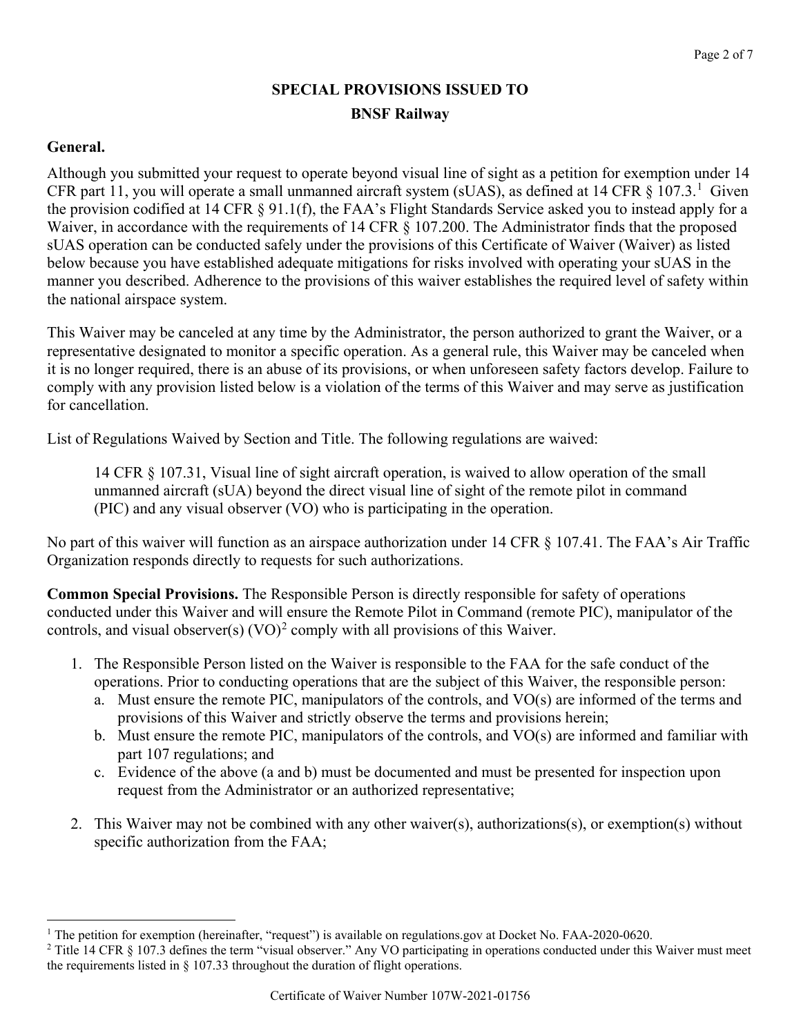# **SPECIAL PROVISIONS ISSUED TO BNSF Railway**

# **General.**

Although you submitted your request to operate beyond visual line of sight as a petition for exemption under 14 CFR part [1](#page-1-0)1, you will operate a small unmanned aircraft system (sUAS), as defined at 14 CFR  $\S$  107.3.<sup>1</sup> Given the provision codified at 14 CFR § 91.1(f), the FAA's Flight Standards Service asked you to instead apply for a Waiver, in accordance with the requirements of 14 CFR § 107.200. The Administrator finds that the proposed sUAS operation can be conducted safely under the provisions of this Certificate of Waiver (Waiver) as listed below because you have established adequate mitigations for risks involved with operating your sUAS in the manner you described. Adherence to the provisions of this waiver establishes the required level of safety within the national airspace system.

This Waiver may be canceled at any time by the Administrator, the person authorized to grant the Waiver, or a representative designated to monitor a specific operation. As a general rule, this Waiver may be canceled when it is no longer required, there is an abuse of its provisions, or when unforeseen safety factors develop. Failure to comply with any provision listed below is a violation of the terms of this Waiver and may serve as justification for cancellation.

List of Regulations Waived by Section and Title. The following regulations are waived:

14 CFR § 107.31, Visual line of sight aircraft operation, is waived to allow operation of the small unmanned aircraft (sUA) beyond the direct visual line of sight of the remote pilot in command (PIC) and any visual observer (VO) who is participating in the operation.

No part of this waiver will function as an airspace authorization under 14 CFR § 107.41. The FAA's Air Traffic Organization responds directly to requests for such authorizations.

**Common Special Provisions.** The Responsible Person is directly responsible for safety of operations conducted under this Waiver and will ensure the Remote Pilot in Command (remote PIC), manipulator of the controls, and visual observer(s)  $(VO)^2$  $(VO)^2$  comply with all provisions of this Waiver.

- 1. The Responsible Person listed on the Waiver is responsible to the FAA for the safe conduct of the operations. Prior to conducting operations that are the subject of this Waiver, the responsible person:
	- a. Must ensure the remote PIC, manipulators of the controls, and VO(s) are informed of the terms and provisions of this Waiver and strictly observe the terms and provisions herein;
	- b. Must ensure the remote PIC, manipulators of the controls, and VO(s) are informed and familiar with part 107 regulations; and
	- c. Evidence of the above (a and b) must be documented and must be presented for inspection upon request from the Administrator or an authorized representative;
- 2. This Waiver may not be combined with any other waiver(s), authorizations(s), or exemption(s) without specific authorization from the FAA;

<span id="page-1-0"></span><sup>&</sup>lt;sup>1</sup> The petition for exemption (hereinafter, "request") is available on regulations.gov at Docket No. FAA-2020-0620.

<span id="page-1-1"></span><sup>&</sup>lt;sup>2</sup> Title 14 CFR  $\S$  107.3 defines the term "visual observer." Any VO participating in operations conducted under this Waiver must meet the requirements listed in § 107.33 throughout the duration of flight operations.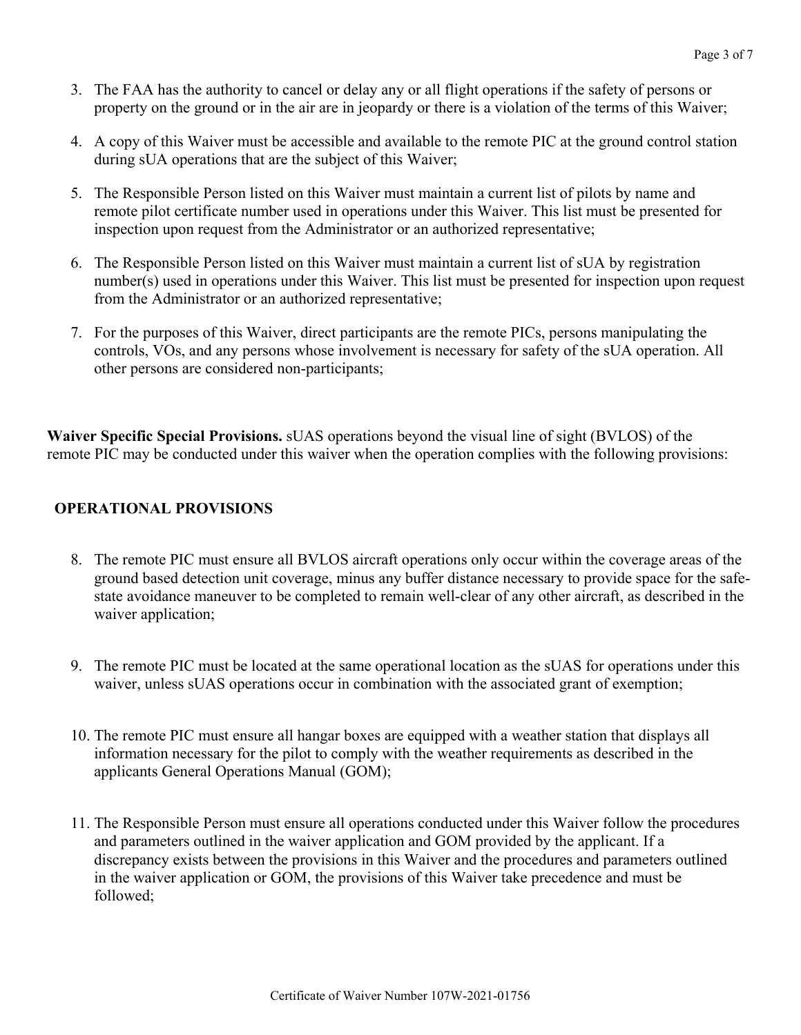- 3. The FAA has the authority to cancel or delay any or all flight operations if the safety of persons or property on the ground or in the air are in jeopardy or there is a violation of the terms of this Waiver;
- 4. A copy of this Waiver must be accessible and available to the remote PIC at the ground control station during sUA operations that are the subject of this Waiver;
- 5. The Responsible Person listed on this Waiver must maintain a current list of pilots by name and remote pilot certificate number used in operations under this Waiver. This list must be presented for inspection upon request from the Administrator or an authorized representative;
- 6. The Responsible Person listed on this Waiver must maintain a current list of sUA by registration number(s) used in operations under this Waiver. This list must be presented for inspection upon request from the Administrator or an authorized representative;
- 7. For the purposes of this Waiver, direct participants are the remote PICs, persons manipulating the controls, VOs, and any persons whose involvement is necessary for safety of the sUA operation. All other persons are considered non-participants;

**Waiver Specific Special Provisions.** sUAS operations beyond the visual line of sight (BVLOS) of the remote PIC may be conducted under this waiver when the operation complies with the following provisions:

# **OPERATIONAL PROVISIONS**

- 8. The remote PIC must ensure all BVLOS aircraft operations only occur within the coverage areas of the ground based detection unit coverage, minus any buffer distance necessary to provide space for the safestate avoidance maneuver to be completed to remain well-clear of any other aircraft, as described in the waiver application;
- 9. The remote PIC must be located at the same operational location as the sUAS for operations under this waiver, unless sUAS operations occur in combination with the associated grant of exemption;
- 10. The remote PIC must ensure all hangar boxes are equipped with a weather station that displays all information necessary for the pilot to comply with the weather requirements as described in the applicants General Operations Manual (GOM);
- 11. The Responsible Person must ensure all operations conducted under this Waiver follow the procedures and parameters outlined in the waiver application and GOM provided by the applicant. If a discrepancy exists between the provisions in this Waiver and the procedures and parameters outlined in the waiver application or GOM, the provisions of this Waiver take precedence and must be followed;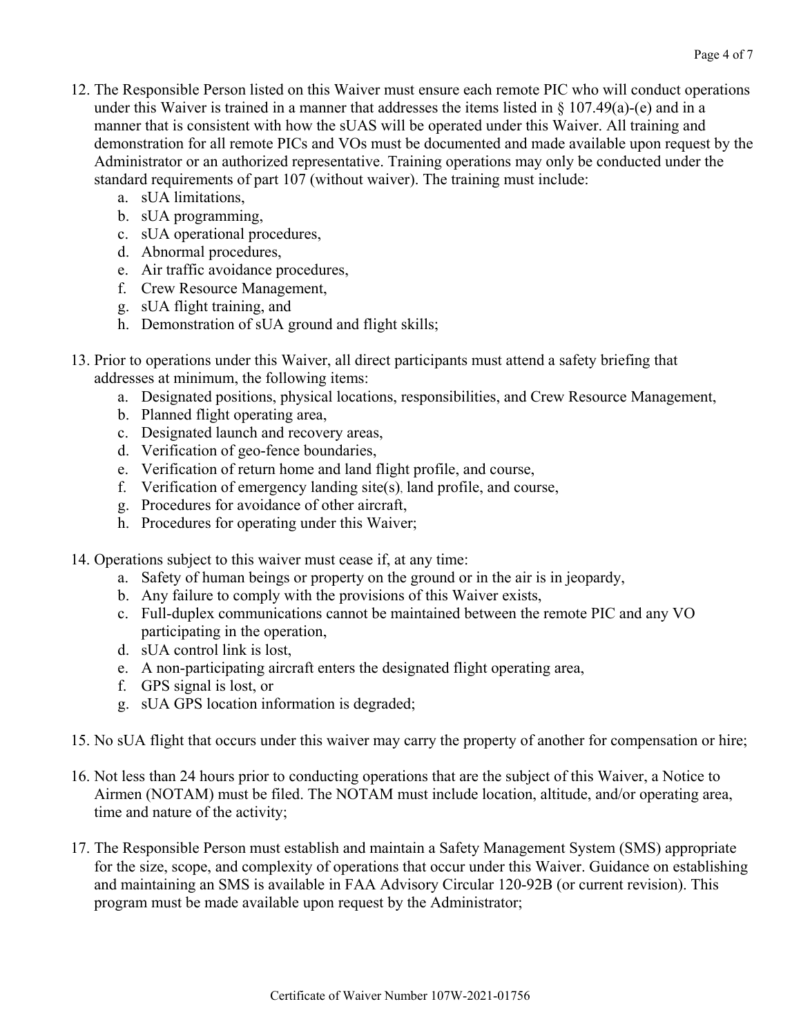- 12. The Responsible Person listed on this Waiver must ensure each remote PIC who will conduct operations under this Waiver is trained in a manner that addresses the items listed in § 107.49(a)-(e) and in a manner that is consistent with how the sUAS will be operated under this Waiver. All training and demonstration for all remote PICs and VOs must be documented and made available upon request by the Administrator or an authorized representative. Training operations may only be conducted under the standard requirements of part 107 (without waiver). The training must include:
	- a. sUA limitations,
	- b. sUA programming,
	- c. sUA operational procedures,
	- d. Abnormal procedures,
	- e. Air traffic avoidance procedures,
	- f. Crew Resource Management,
	- g. sUA flight training, and
	- h. Demonstration of sUA ground and flight skills;
- 13. Prior to operations under this Waiver, all direct participants must attend a safety briefing that addresses at minimum, the following items:
	- a. Designated positions, physical locations, responsibilities, and Crew Resource Management,
	- b. Planned flight operating area,
	- c. Designated launch and recovery areas,
	- d. Verification of geo-fence boundaries,
	- e. Verification of return home and land flight profile, and course,
	- f. Verification of emergency landing site(s), land profile, and course,
	- g. Procedures for avoidance of other aircraft,
	- h. Procedures for operating under this Waiver;
- 14. Operations subject to this waiver must cease if, at any time:
	- a. Safety of human beings or property on the ground or in the air is in jeopardy,
	- b. Any failure to comply with the provisions of this Waiver exists,
	- c. Full-duplex communications cannot be maintained between the remote PIC and any VO participating in the operation,
	- d. sUA control link is lost,
	- e. A non-participating aircraft enters the designated flight operating area,
	- f. GPS signal is lost, or
	- g. sUA GPS location information is degraded;
- 15. No sUA flight that occurs under this waiver may carry the property of another for compensation or hire;
- 16. Not less than 24 hours prior to conducting operations that are the subject of this Waiver, a Notice to Airmen (NOTAM) must be filed. The NOTAM must include location, altitude, and/or operating area, time and nature of the activity;
- 17. The Responsible Person must establish and maintain a Safety Management System (SMS) appropriate for the size, scope, and complexity of operations that occur under this Waiver. Guidance on establishing and maintaining an SMS is available in FAA Advisory Circular 120-92B (or current revision). This program must be made available upon request by the Administrator;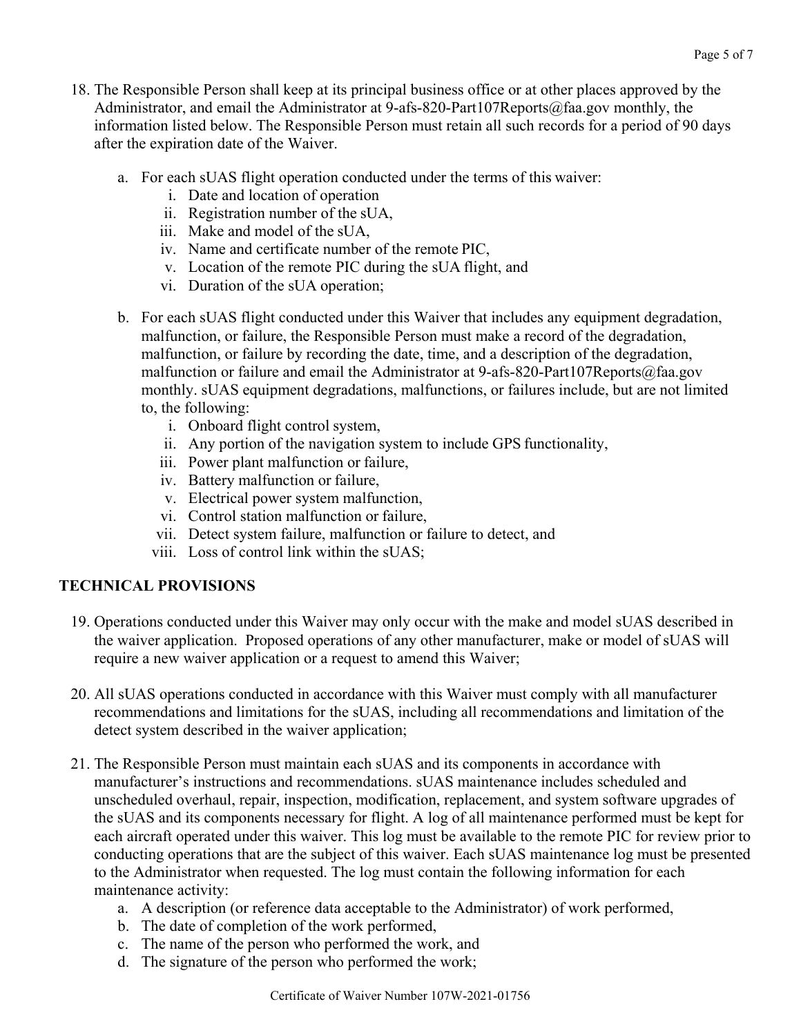- 18. The Responsible Person shall keep at its principal business office or at other places approved by the Administrator, and email the Administrator at 9-afs-820-Part107Reports@faa.gov monthly, the information listed below. The Responsible Person must retain all such records for a period of 90 days after the expiration date of the Waiver.
	- a. For each sUAS flight operation conducted under the terms of this waiver:
		- i. Date and location of operation
		- ii. Registration number of the sUA,
		- iii. Make and model of the sUA,
		- iv. Name and certificate number of the remote PIC,
		- v. Location of the remote PIC during the sUA flight, and
		- vi. Duration of the sUA operation;
	- b. For each sUAS flight conducted under this Waiver that includes any equipment degradation, malfunction, or failure, the Responsible Person must make a record of the degradation, malfunction, or failure by recording the date, time, and a description of the degradation, malfunction or failure and email the Administrator at 9-afs-820-Part107Reports@faa.gov monthly. sUAS equipment degradations, malfunctions, or failures include, but are not limited to, the following:
		- i. Onboard flight control system,
		- ii. Any portion of the navigation system to include GPS functionality,
		- iii. Power plant malfunction or failure,
		- iv. Battery malfunction or failure,
		- v. Electrical power system malfunction,
		- vi. Control station malfunction or failure,
		- vii. Detect system failure, malfunction or failure to detect, and
		- viii. Loss of control link within the sUAS;

# **TECHNICAL PROVISIONS**

- 19. Operations conducted under this Waiver may only occur with the make and model sUAS described in the waiver application. Proposed operations of any other manufacturer, make or model of sUAS will require a new waiver application or a request to amend this Waiver;
- 20. All sUAS operations conducted in accordance with this Waiver must comply with all manufacturer recommendations and limitations for the sUAS, including all recommendations and limitation of the detect system described in the waiver application;
- 21. The Responsible Person must maintain each sUAS and its components in accordance with manufacturer's instructions and recommendations. sUAS maintenance includes scheduled and unscheduled overhaul, repair, inspection, modification, replacement, and system software upgrades of the sUAS and its components necessary for flight. A log of all maintenance performed must be kept for each aircraft operated under this waiver. This log must be available to the remote PIC for review prior to conducting operations that are the subject of this waiver. Each sUAS maintenance log must be presented to the Administrator when requested. The log must contain the following information for each maintenance activity:
	- a. A description (or reference data acceptable to the Administrator) of work performed,
	- b. The date of completion of the work performed,
	- c. The name of the person who performed the work, and
	- d. The signature of the person who performed the work;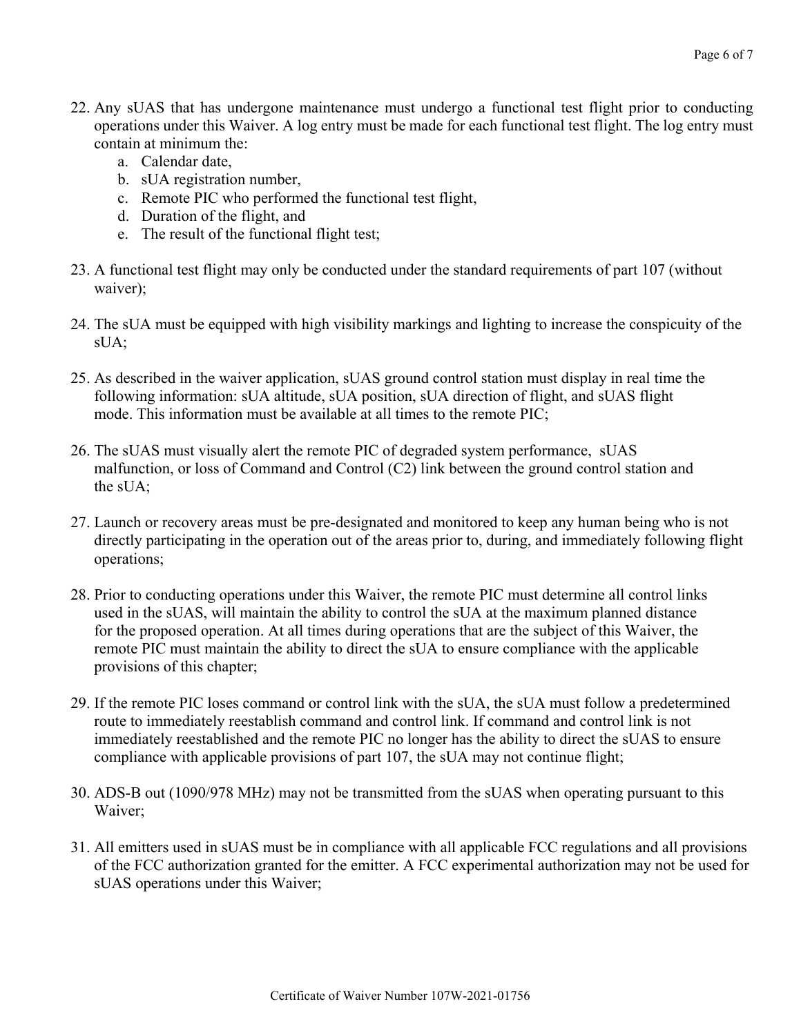- 22. Any sUAS that has undergone maintenance must undergo a functional test flight prior to conducting operations under this Waiver. A log entry must be made for each functional test flight. The log entry must contain at minimum the:
	- a. Calendar date,
	- b. sUA registration number,
	- c. Remote PIC who performed the functional test flight,
	- d. Duration of the flight, and
	- e. The result of the functional flight test;
- 23. A functional test flight may only be conducted under the standard requirements of part 107 (without waiver);
- 24. The sUA must be equipped with high visibility markings and lighting to increase the conspicuity of the sUA;
- 25. As described in the waiver application, sUAS ground control station must display in real time the following information: sUA altitude, sUA position, sUA direction of flight, and sUAS flight mode. This information must be available at all times to the remote PIC;
- 26. The sUAS must visually alert the remote PIC of degraded system performance, sUAS malfunction, or loss of Command and Control (C2) link between the ground control station and the sUA;
- 27. Launch or recovery areas must be pre-designated and monitored to keep any human being who is not directly participating in the operation out of the areas prior to, during, and immediately following flight operations;
- 28. Prior to conducting operations under this Waiver, the remote PIC must determine all control links used in the sUAS, will maintain the ability to control the sUA at the maximum planned distance for the proposed operation. At all times during operations that are the subject of this Waiver, the remote PIC must maintain the ability to direct the sUA to ensure compliance with the applicable provisions of this chapter;
- 29. If the remote PIC loses command or control link with the sUA, the sUA must follow a predetermined route to immediately reestablish command and control link. If command and control link is not immediately reestablished and the remote PIC no longer has the ability to direct the sUAS to ensure compliance with applicable provisions of part 107, the sUA may not continue flight;
- 30. ADS-B out (1090/978 MHz) may not be transmitted from the sUAS when operating pursuant to this Waiver;
- 31. All emitters used in sUAS must be in compliance with all applicable FCC regulations and all provisions of the FCC authorization granted for the emitter. A FCC experimental authorization may not be used for sUAS operations under this Waiver;